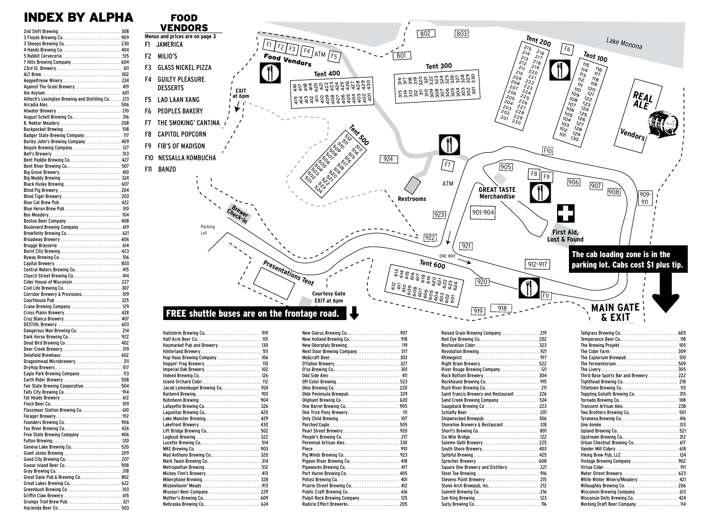## INDEX BY ALPHA

2nd Chift Brewing

| 7 Hills Brewing Company 604                      |  |
|--------------------------------------------------|--|
|                                                  |  |
|                                                  |  |
|                                                  |  |
| Against The Grain Brewery 419                    |  |
|                                                  |  |
| Alltech's Lexington Brewing and Distilling Co213 |  |
|                                                  |  |
| August Schell Brewing Co. 316                    |  |
|                                                  |  |
|                                                  |  |
| Badger State Brewing Company 117                 |  |
| Barley John's Brewing Company  409               |  |
| Begyle Brewing Company  127                      |  |
|                                                  |  |
| Bent Paddle Brewing Co 427                       |  |
| Bent River Brewing Co 507                        |  |
|                                                  |  |
|                                                  |  |
|                                                  |  |
|                                                  |  |
|                                                  |  |
|                                                  |  |
|                                                  |  |
| Boston Beer Company 408                          |  |
| Boulevard Brewing Company  619                   |  |
|                                                  |  |
|                                                  |  |
|                                                  |  |
|                                                  |  |
|                                                  |  |
| Central Waters Brewing Co 415                    |  |
|                                                  |  |
|                                                  |  |
| Church Street Brewing Co 414                     |  |
| Cider House of Wisconsin  227                    |  |
| Corridor Brewery & Provisions519                 |  |
|                                                  |  |
| Crane Brewing Company 129                        |  |
|                                                  |  |
| Cruz Blanca Brewery  407                         |  |
|                                                  |  |
| Dangerous Man Brewing Co.  214                   |  |
|                                                  |  |
| Dead Bird Brewing Co  402                        |  |
|                                                  |  |
| Dragonmead Microbrewery  311                     |  |
|                                                  |  |
| Eagle Park Brewing Company 113                   |  |
|                                                  |  |
| Fair State Brewing Cooperative 504               |  |
|                                                  |  |
|                                                  |  |
|                                                  |  |
|                                                  |  |
|                                                  |  |
|                                                  |  |
| Free State Brewing Company  406                  |  |
|                                                  |  |
| Geneva Lake Brewing Co.  520                     |  |
|                                                  |  |
|                                                  |  |
|                                                  |  |
|                                                  |  |
| Great Dane Pub & Brewing Co 802                  |  |
|                                                  |  |
|                                                  |  |
|                                                  |  |